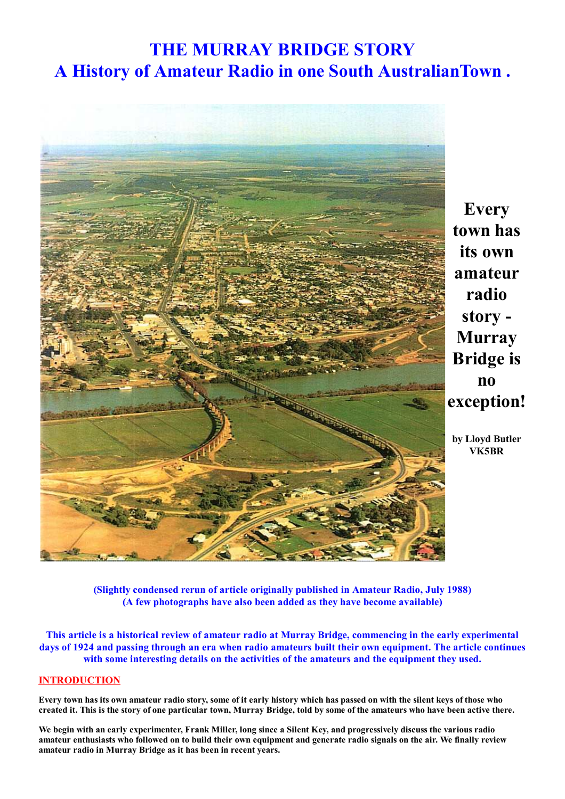# **THE MURRAY BRIDGE STORY** A History of Amateur Radio in one South Australian Town.



**Every** town has its own amateur radio story -**Murray Bridge** is  $\mathbf{n}$ exception!

by Lloyd Butler **VK5BR** 

(Slightly condensed rerun of article originally published in Amateur Radio, July 1988) (A few photographs have also been added as they have become available)

This article is a historical review of amateur radio at Murray Bridge, commencing in the early experimental days of 1924 and passing through an era when radio amateurs built their own equipment. The article continues with some interesting details on the activities of the amateurs and the equipment they used.

## **INTRODUCTION**

Every town has its own amateur radio story, some of it early history which has passed on with the silent keys of those who created it. This is the story of one particular town, Murray Bridge, told by some of the amateurs who have been active there.

We begin with an early experimenter, Frank Miller, long since a Silent Key, and progressively discuss the various radio amateur enthusiasts who followed on to build their own equipment and generate radio signals on the air. We finally review amateur radio in Murray Bridge as it has been in recent years.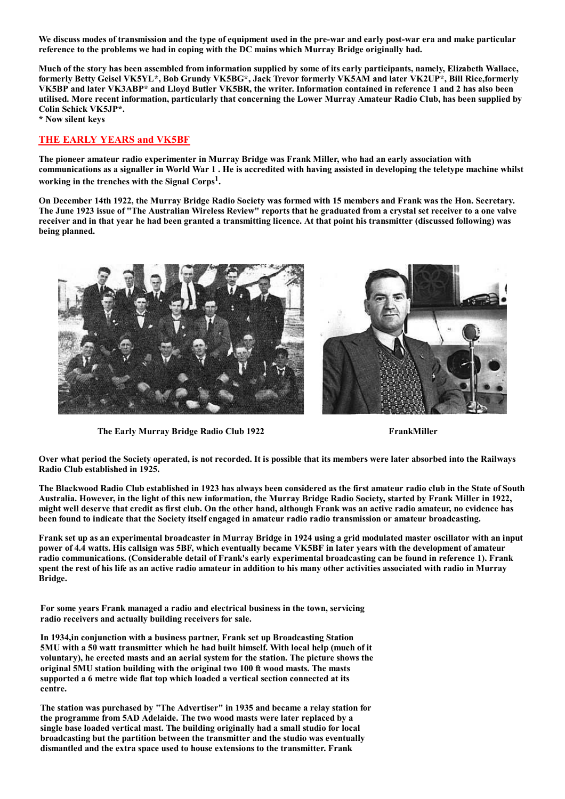We discuss modes of transmission and the type of equipment used in the pre-war and early post-war era and make particular reference to the problems we had in coping with the DC mains which Murray Bridge originally had.

Much of the story has been assembled from information supplied by some of its early participants, namely, Elizabeth Wallace, formerly Betty Geisel VK5YL\*, Bob Grundy VK5BG\*, Jack Trevor formerly VK5AM and later VK2UP\*, Bill Rice,formerly VK5BP and later VK3ABP\* and Lloyd Butler VK5BR, the writer. Information contained in reference 1 and 2 has also been utilised. More recent information, particularly that concerning the Lower Murray Amateur Radio Club, has been supplied by Colin Schick VK5JP\*.

\* Now silent keys

## **THE EARLY YEARS and VK5BF**

The pioneer amateur radio experimenter in Murray Bridge was Frank Miller, who had an early association with communications as a signaller in World War 1. He is accredited with having assisted in developing the teletype machine whilst working in the trenches with the Signal Corps<sup>1</sup>.

On December 14th 1922, the Murray Bridge Radio Society was formed with 15 members and Frank was the Hon. Secretary. The June 1923 issue of "The Australian Wireless Review" reports that he graduated from a crystal set receiver to a one valve receiver and in that year he had been granted a transmitting licence. At that point his transmitter (discussed following) was being planned.





The Early Murray Bridge Radio Club 1922

FrankMiller

Over what period the Society operated, is not recorded. It is possible that its members were later absorbed into the Railways Radio Club established in 1925.

The Blackwood Radio Club established in 1923 has always been considered as the first amateur radio club in the State of South Australia. However, in the light of this new information, the Murray Bridge Radio Society, started by Frank Miller in 1922, might well deserve that credit as first club. On the other hand, although Frank was an active radio amateur, no evidence has been found to indicate that the Society itself engaged in amateur radio radio transmission or amateur broadcasting.

Frank set up as an experimental broadcaster in Murray Bridge in 1924 using a grid modulated master oscillator with an input power of 4.4 watts. His callsign was 5BF, which eventually became VK5BF in later years with the development of amateur radio communications. (Considerable detail of Frank's early experimental broadcasting can be found in reference 1). Frank spent the rest of his life as an active radio amateur in addition to his many other activities associated with radio in Murray Bridge.

For some vears Frank managed a radio and electrical business in the town, servicing radio receivers and actually building receivers for sale.

In 1934, in conjunction with a business partner, Frank set up Broadcasting Station 5MU with a 50 watt transmitter which he had built himself. With local help (much of it voluntary), he erected masts and an aerial system for the station. The picture shows the original 5MU station building with the original two 100 ft wood masts. The masts supported a 6 metre wide flat top which loaded a vertical section connected at its centre.

The station was purchased by "The Advertiser" in 1935 and became a relay station for the programme from 5AD Adelaide. The two wood masts were later replaced by a single base loaded vertical mast. The building originally had a small studio for local broadcasting but the partition between the transmitter and the studio was eventually dismantled and the extra space used to house extensions to the transmitter. Frank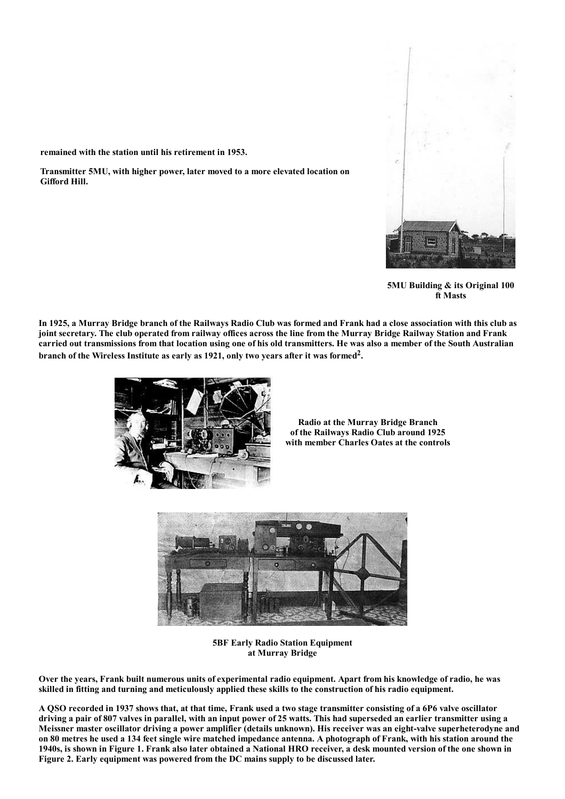

5MU Building & its Original 100 ft Masts

In 1925, a Murray Bridge branch of the Railways Radio Club was formed and Frank had a close association with this club as joint secretary. The club operated from railway offices across the line from the Murray Bridge Railway Station and Frank carried out transmissions from that location using one of his old transmitters. He was also a member of the South Australian branch of the Wireless Institute as early as 1921, only two years after it was formed<sup>2</sup>.



Transmitter 5MU, with higher power, later moved to a more elevated location on

remained with the station until his retirement in 1953.

Gifford Hill.

**Radio at the Murray Bridge Branch** of the Railways Radio Club around 1925 with member Charles Oates at the controls



**5BF Early Radio Station Equipment** at Murray Bridge

Over the years, Frank built numerous units of experimental radio equipment. Apart from his knowledge of radio, he was skilled in fitting and turning and meticulously applied these skills to the construction of his radio equipment.

A QSO recorded in 1937 shows that, at that time, Frank used a two stage transmitter consisting of a 6P6 valve oscillator driving a pair of 807 valves in parallel, with an input power of 25 watts. This had superseded an earlier transmitter using a Meissner master oscillator driving a power amplifier (details unknown). His receiver was an eight-valve superheterodyne and on 80 metres he used a 134 feet single wire matched impedance antenna. A photograph of Frank, with his station around the 1940s, is shown in Figure 1. Frank also later obtained a National HRO receiver, a desk mounted version of the one shown in Figure 2. Early equipment was powered from the DC mains supply to be discussed later.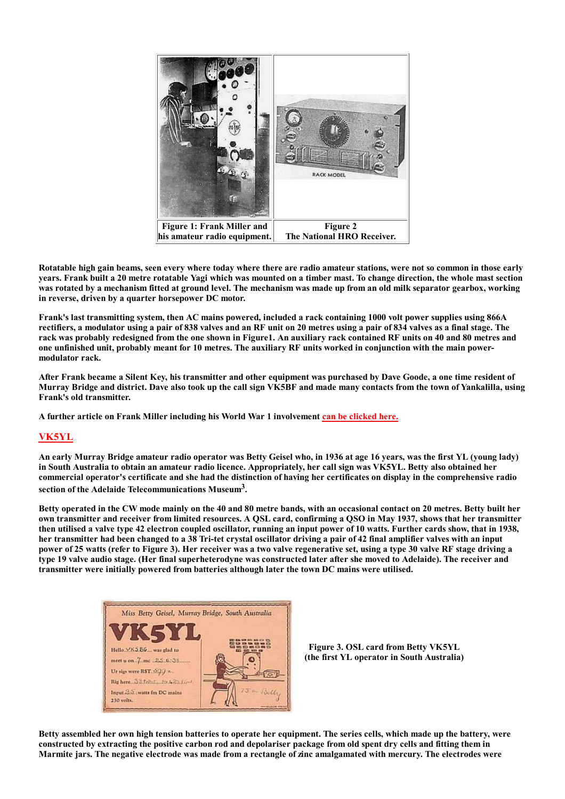

Rotatable high gain beams, seen every where today where there are radio amateur stations, were not so common in those early years. Frank built a 20 metre rotatable Yagi which was mounted on a timber mast. To change direction, the whole mast section was rotated by a mechanism fitted at ground level. The mechanism was made up from an old milk separator gearbox, working in reverse, driven by a quarter horsepower DC motor.

Frank's last transmitting system, then AC mains powered, included a rack containing 1000 volt power supplies using 866A rectifiers, a modulator using a pair of 838 valves and an RF unit on 20 metres using a pair of 834 valves as a final stage. The rack was probably redesigned from the one shown in Figure1. An auxiliary rack contained RF units on 40 and 80 metres and one unfinished unit, probably meant for 10 metres. The auxiliary RF units worked in conjunction with the main powermodulator rack.

After Frank became a Silent Key, his transmitter and other equipment was purchased by Dave Goode, a one time resident of Murray Bridge and district. Dave also took up the call sign VK5BF and made many contacts from the town of Yankalilla, using Frank's old transmitter.

A further article on Frank Miller including his World War 1 involvement can be clicked here.

## VK5YL

An early Murray Bridge amateur radio operator was Betty Geisel who, in 1936 at age 16 years, was the first YL (young lady) in South Australia to obtain an amateur radio licence. Appropriately, her call sign was VK5YL. Betty also obtained her commercial operator's certificate and she had the distinction of having her certificates on display in the comprehensive radio section of the Adelaide Telecommunications Museum<sup>3</sup>.

Betty operated in the CW mode mainly on the 40 and 80 metre bands, with an occasional contact on 20 metres. Betty built her own transmitter and receiver from limited resources. A QSL card, confirming a QSO in May 1937, shows that her transmitter then utilised a valve type 42 electron coupled oscillator, running an input power of 10 watts. Further cards show, that in 1938, her transmitter had been changed to a 38 Tri-tet crystal oscillator driving a pair of 42 final amplifier valves with an input power of 25 watts (refer to Figure 3). Her receiver was a two valve regenerative set, using a type 30 valve RF stage driving a type 19 valve audio stage. (Her final superheterodyne was constructed later after she moved to Adelaide). The receiver and transmitter were initially powered from batteries although later the town DC mains were utilised.



Figure 3. OSL card from Betty VK5YL (the first YL operator in South Australia)

Betty assembled her own high tension batteries to operate her equipment. The series cells, which made up the battery, were constructed by extracting the positive carbon rod and depolariser package from old spent dry cells and fitting them in Marmite jars. The negative electrode was made from a rectangle of zinc amalgamated with mercury. The electrodes were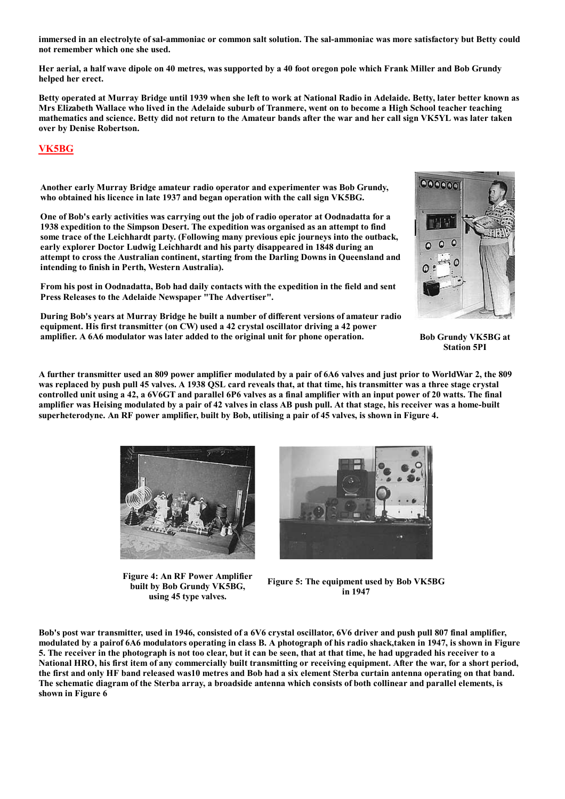immersed in an electrolyte of sal-ammoniac or common salt solution. The sal-ammoniac was more satisfactory but Betty could not remember which one she used.

Her aerial, a half wave dipole on 40 metres, was supported by a 40 foot oregon pole which Frank Miller and Bob Grundy helped her erect.

Betty operated at Murray Bridge until 1939 when she left to work at National Radio in Adelaide. Betty, later better known as Mrs Elizabeth Wallace who lived in the Adelaide suburb of Tranmere, went on to become a High School teacher teaching mathematics and science. Betty did not return to the Amateur bands after the war and her call sign VK5YL was later taken over by Denise Robertson.

#### **VK5BG**

Another early Murray Bridge amateur radio operator and experimenter was Bob Grundy, who obtained his licence in late 1937 and began operation with the call sign VK5BG.

One of Bob's early activities was carrying out the job of radio operator at Oodnadatta for a 1938 expedition to the Simpson Desert. The expedition was organised as an attempt to find some trace of the Leichhardt party. (Following many previous epic journeys into the outback, early explorer Doctor Ludwig Leichhardt and his party disappeared in 1848 during an attempt to cross the Australian continent, starting from the Darling Downs in Queensland and intending to finish in Perth, Western Australia).

From his post in Oodnadatta, Bob had daily contacts with the expedition in the field and sent Press Releases to the Adelaide Newspaper "The Advertiser".

During Bob's years at Murray Bridge he built a number of different versions of amateur radio equipment. His first transmitter (on CW) used a 42 crystal oscillator driving a 42 power amplifier. A 6A6 modulator was later added to the original unit for phone operation.

**Bob Grundy VK5BG at Station 5PI** 

 $000000$ 

 $\overline{O}$  $\circ$ 

A further transmitter used an 809 power amplifier modulated by a pair of 6A6 valves and just prior to WorldWar 2, the 809 was replaced by push pull 45 valves. A 1938 QSL card reveals that, at that time, his transmitter was a three stage crystal controlled unit using a 42, a 6V6GT and parallel 6P6 valves as a final amplifier with an input power of 20 watts. The final amplifier was Heising modulated by a pair of 42 valves in class AB push pull. At that stage, his receiver was a home-built superheterodyne. An RF power amplifier, built by Bob, utilising a pair of 45 valves, is shown in Figure 4.



**Figure 4: An RF Power Amplifier** built by Bob Grundy VK5BG, using 45 type valves.



Figure 5: The equipment used by Bob VK5BG in 1947

Bob's post war transmitter, used in 1946, consisted of a 6V6 crystal oscillator, 6V6 driver and push pull 807 final amplifier, modulated by a pairof 6A6 modulators operating in class B. A photograph of his radio shack, taken in 1947, is shown in Figure 5. The receiver in the photograph is not too clear, but it can be seen, that at that time, he had upgraded his receiver to a National HRO, his first item of any commercially built transmitting or receiving equipment. After the war, for a short period, the first and only HF band released was10 metres and Bob had a six element Sterba curtain antenna operating on that band. The schematic diagram of the Sterba array, a broadside antenna which consists of both collinear and parallel elements, is shown in Figure 6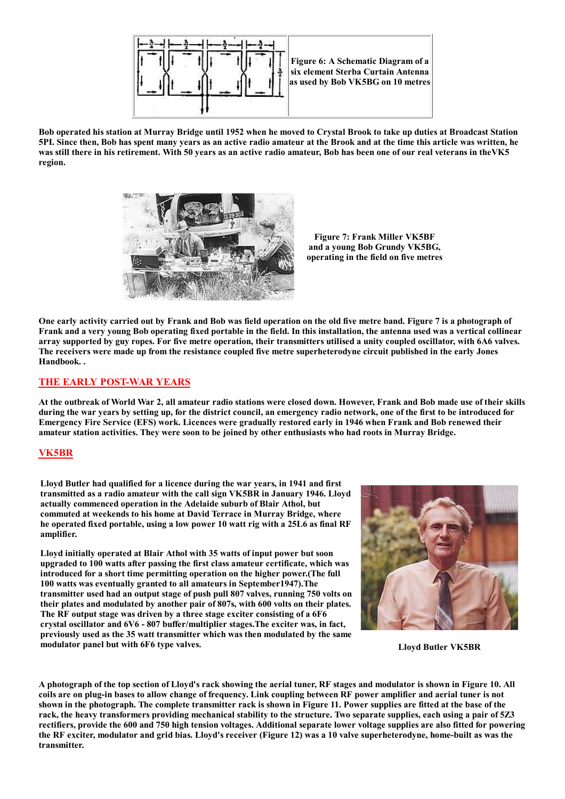

Bob operated his station at Murray Bridge until 1952 when he moved to Crystal Brook to take up duties at Broadcast Station 5PI. Since then, Bob has spent many years as an active radio amateur at the Brook and at the time this article was written, he was still there in his retirement. With 50 years as an active radio amateur, Bob has been one of our real veterans in the VK5 region.



**Figure 7: Frank Miller VK5BF** and a voung Bob Grundy VK5BG. operating in the field on five metres

One early activity carried out by Frank and Bob was field operation on the old five metre band. Figure 7 is a photograph of Frank and a very young Bob operating fixed portable in the field. In this installation, the antenna used was a vertical collinear array supported by guy ropes. For five metre operation, their transmitters utilised a unity coupled oscillator, with 6A6 valves. The receivers were made up from the resistance coupled five metre superheterodyne circuit published in the early Jones Handbook..

## THE EARLY POST-WAR YEARS

At the outbreak of World War 2, all amateur radio stations were closed down. However, Frank and Bob made use of their skills during the war years by setting up, for the district council, an emergency radio network, one of the first to be introduced for Emergency Fire Service (EFS) work. Licences were gradually restored early in 1946 when Frank and Bob renewed their amateur station activities. They were soon to be joined by other enthusiasts who had roots in Murray Bridge.

#### **VK5BR**

Lloyd Butler had qualified for a licence during the war years, in 1941 and first transmitted as a radio amateur with the call sign VK5BR in January 1946. Lloyd actually commenced operation in the Adelaide suburb of Blair Athol, but commuted at weekends to his home at David Terrace in Murray Bridge, where he operated fixed portable, using a low power 10 watt rig with a 25L6 as final RF amplifier.

Lloyd initially operated at Blair Athol with 35 watts of input power but soon upgraded to 100 watts after passing the first class amateur certificate, which was introduced for a short time permitting operation on the higher power. (The full 100 watts was eventually granted to all amateurs in September 1947). The transmitter used had an output stage of push pull 807 valves, running 750 volts on their plates and modulated by another pair of 807s, with 600 volts on their plates. The RF output stage was driven by a three stage exciter consisting of a 6F6 crystal oscillator and 6V6 - 807 buffer/multiplier stages. The exciter was, in fact, previously used as the 35 watt transmitter which was then modulated by the same modulator panel but with 6F6 type valves.



**Lloyd Butler VK5BR** 

A photograph of the top section of Lloyd's rack showing the aerial tuner, RF stages and modulator is shown in Figure 10. All coils are on plug-in bases to allow change of frequency. Link coupling between RF power amplifier and aerial tuner is not shown in the photograph. The complete transmitter rack is shown in Figure 11. Power supplies are fitted at the base of the rack, the heavy transformers providing mechanical stability to the structure. Two separate supplies, each using a pair of 5Z3 rectifiers, provide the 600 and 750 high tension voltages. Additional separate lower voltage supplies are also fitted for powering the RF exciter, modulator and grid bias. Lloyd's receiver (Figure 12) was a 10 valve superheterodyne, home-built as was the transmitter.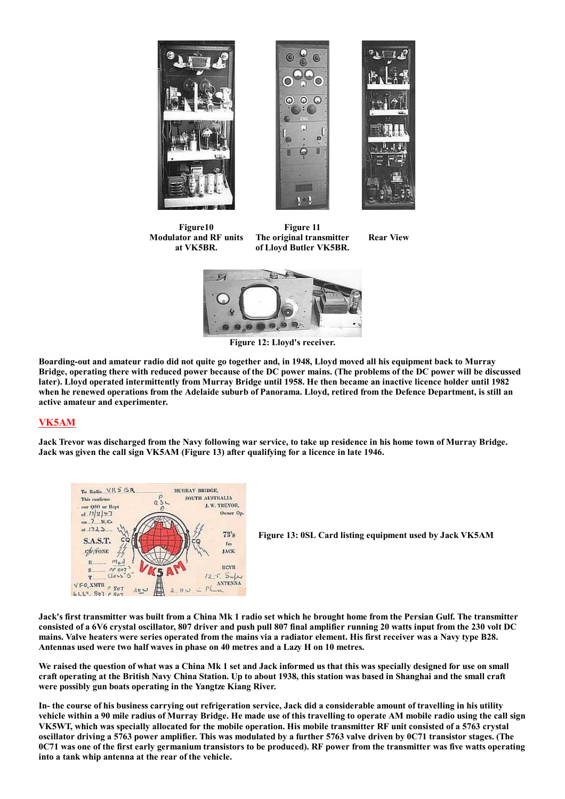



Figure10 **Modulator and RF units** at VK5BR.

Figure 11 The original transmitter of Llovd Butler VK5BR.





Figure 12: Lloyd's receiver.

Boarding-out and amateur radio did not quite go together and, in 1948, Lloyd moved all his equipment back to Murray Bridge, operating there with reduced power because of the DC power mains. (The problems of the DC power will be discussed later). Lloyd operated intermittently from Murray Bridge until 1958. He then became an inactive licence holder until 1982 when he renewed operations from the Adelaide suburb of Panorama. Lloyd, retired from the Defence Department, is still an active amateur and experimenter.

## **VK5AM**

Jack Trevor was discharged from the Navy following war service, to take up residence in his home town of Murray Bridge. Jack was given the call sign VK5AM (Figure 13) after qualifying for a licence in late 1946.







Jack's first transmitter was built from a China Mk 1 radio set which he brought home from the Persian Gulf. The transmitter consisted of a 6V6 crystal oscillator, 807 driver and push pull 807 final amplifier running 20 watts input from the 230 volt DC mains. Valve heaters were series operated from the mains via a radiator element. His first receiver was a Navy type B28. Antennas used were two half waves in phase on 40 metres and a Lazy H on 10 metres.

We raised the question of what was a China Mk 1 set and Jack informed us that this was specially designed for use on small craft operating at the British Navy China Station. Up to about 1938, this station was based in Shanghai and the small craft were possibly gun boats operating in the Yangtze Kiang River.

In-the course of his business carrying out refrigeration service, Jack did a considerable amount of travelling in his utility vehicle within a 90 mile radius of Murray Bridge. He made use of this travelling to operate AM mobile radio using the call sign VK5WT, which was specially allocated for the mobile operation. His mobile transmitter RF unit consisted of a 5763 crystal oscillator driving a 5763 power amplifier. This was modulated by a further 5763 valve driven by 0C71 transistor stages. (The 0C71 was one of the first early germanium transistors to be produced). RF power from the transmitter was five watts operating into a tank whip antenna at the rear of the vehicle.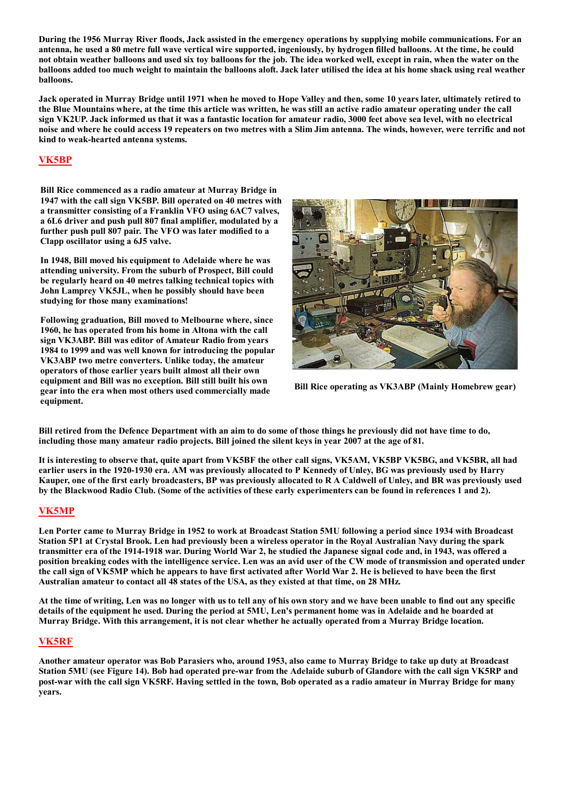During the 1956 Murray River floods. Jack assisted in the emergency operations by supplying mobile communications. For an antenna, he used a 80 metre full wave vertical wire supported, ingeniously, by hydrogen filled balloons. At the time, he could not obtain weather balloons and used six toy balloons for the job. The idea worked well, except in rain, when the water on the balloons added too much weight to maintain the balloons aloft. Jack later utilised the idea at his home shack using real weather balloons.

Jack operated in Murray Bridge until 1971 when he moved to Hope Valley and then, some 10 years later, ultimately retired to the Blue Mountains where, at the time this article was written, he was still an active radio amateur operating under the call sign VK2UP. Jack informed us that it was a fantastic location for amateur radio, 3000 feet above sea level, with no electrical noise and where he could access 19 repeaters on two metres with a Slim Jim antenna. The winds, however, were terrific and not kind to weak-hearted antenna systems.

# **VK5BP**

Bill Rice commenced as a radio amateur at Murray Bridge in 1947 with the call sign VK5BP. Bill operated on 40 metres with a transmitter consisting of a Franklin VFO using 6AC7 valves. a 6L6 driver and push pull 807 final amplifier, modulated by a further push pull 807 pair. The VFO was later modified to a Clapp oscillator using a 6J5 valve.

In 1948, Bill moved his equipment to Adelaide where he was attending university. From the suburb of Prospect, Bill could be regularly heard on 40 metres talking technical topics with John Lamprey VK5JL, when he possibly should have been studying for those many examinations!

Following graduation. Bill moved to Melbourne where, since 1960, he has operated from his home in Altona with the call sign VK3ABP. Bill was editor of Amateur Radio from years 1984 to 1999 and was well known for introducing the popular VK3ABP two metre converters. Unlike today, the amateur operators of those earlier vears built almost all their own equipment and Bill was no exception. Bill still built his own gear into the era when most others used commercially made equipment.



Bill Rice operating as VK3ABP (Mainly Homebrew gear)

Bill retired from the Defence Department with an aim to do some of those things he previously did not have time to do, including those many amateur radio projects. Bill joined the silent keys in year 2007 at the age of 81.

It is interesting to observe that, quite apart from VK5BF the other call signs, VK5AM, VK5BP VK5BG, and VK5BR, all had earlier users in the 1920-1930 era. AM was previously allocated to P Kennedy of Unley, BG was previously used by Harry Kauper, one of the first early broadcasters, BP was previously allocated to R A Caldwell of Unley, and BR was previously used by the Blackwood Radio Club. (Some of the activities of these early experimenters can be found in references 1 and 2).

## **VK5MP**

Len Porter came to Murray Bridge in 1952 to work at Broadcast Station 5MU following a period since 1934 with Broadcast Station 5P1 at Crystal Brook. Len had previously been a wireless operator in the Royal Australian Navy during the spark transmitter era of the 1914-1918 war. During World War 2, he studied the Japanese signal code and, in 1943, was offered a position breaking codes with the intelligence service. Len was an avid user of the CW mode of transmission and operated under the call sign of VK5MP which he appears to have first activated after World War 2. He is believed to have been the first Australian amateur to contact all 48 states of the USA, as they existed at that time, on 28 MHz.

At the time of writing, Len was no longer with us to tell any of his own story and we have been unable to find out any specific details of the equipment he used. During the period at 5MU, Len's permanent home was in Adelaide and he boarded at Murray Bridge. With this arrangement, it is not clear whether he actually operated from a Murray Bridge location.

#### **VK5RF**

Another amateur operator was Bob Parasiers who, around 1953, also came to Murray Bridge to take up duty at Broadcast Station 5MU (see Figure 14). Bob had operated pre-war from the Adelaide suburb of Glandore with the call sign VK5RP and post-war with the call sign VK5RF. Having settled in the town, Bob operated as a radio amateur in Murray Bridge for many vears.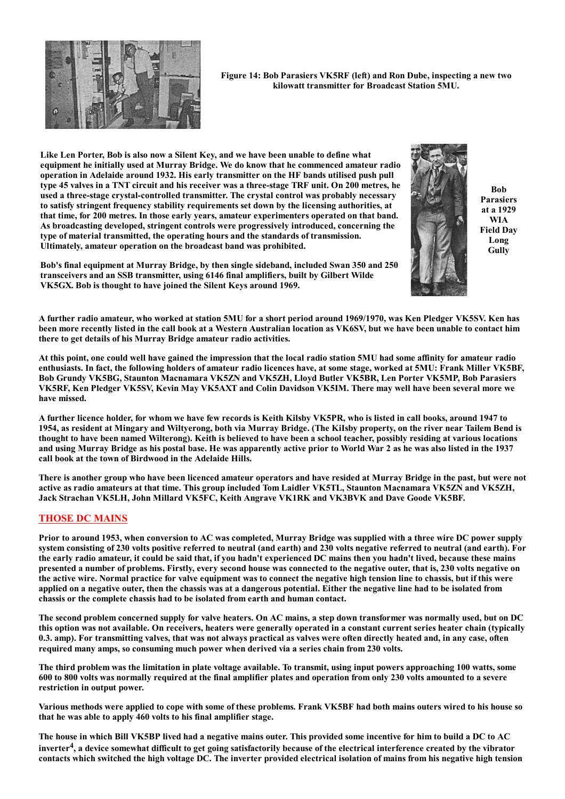

Figure 14: Bob Parasiers VK5RF (left) and Ron Dube, inspecting a new two kilowatt transmitter for Broadcast Station 5MU.

Like Len Porter, Bob is also now a Silent Key, and we have been unable to define what equipment he initially used at Murray Bridge. We do know that he commenced amateur radio operation in Adelaide around 1932. His early transmitter on the HF bands utilised push pull type 45 valves in a TNT circuit and his receiver was a three-stage TRF unit. On 200 metres, he used a three-stage crystal-controlled transmitter. The crystal control was probably necessary to satisfy stringent frequency stability requirements set down by the licensing authorities, at that time, for 200 metres. In those early vears, amateur experimenters operated on that band. As broadcasting developed, stringent controls were progressively introduced, concerning the type of material transmitted, the operating hours and the standards of transmission. Ultimately, amateur operation on the broadcast band was prohibited.



**Bob Parasiers** at a 1929 WIA **Field Dav** Long Gully

Bob's final equipment at Murray Bridge, by then single sideband, included Swan 350 and 250 transceivers and an SSB transmitter, using 6146 final amplifiers, built by Gilbert Wilde VK5GX. Bob is thought to have joined the Silent Keys around 1969.

A further radio amateur, who worked at station 5MU for a short period around 1969/1970, was Ken Pledger VK5SV. Ken has been more recently listed in the call book at a Western Australian location as VK6SV, but we have been unable to contact him there to get details of his Murray Bridge amateur radio activities.

At this point, one could well have gained the impression that the local radio station 5MU had some affinity for amateur radio enthusiasts. In fact, the following holders of amateur radio licences have, at some stage, worked at 5MU: Frank Miller VK5BF, Bob Grundy VK5BG, Staunton Macnamara VK5ZN and VK5ZH, Lloyd Butler VK5BR, Len Porter VK5MP, Bob Parasiers VK5RF, Ken Pledger VK5SV, Kevin May VK5AXT and Colin Davidson VK5IM. There may well have been several more we have missed

A further licence holder, for whom we have few records is Keith Kilsby VK5PR, who is listed in call books, around 1947 to 1954, as resident at Mingary and Wiltyerong, both via Murray Bridge. (The Kilsby property, on the river near Tailem Bend is thought to have been named Wilterong). Keith is believed to have been a school teacher, possibly residing at various locations and using Murray Bridge as his postal base. He was apparently active prior to World War 2 as he was also listed in the 1937 call book at the town of Birdwood in the Adelaide Hills.

There is another group who have been licenced amateur operators and have resided at Murray Bridge in the past, but were not active as radio amateurs at that time. This group included Tom Laidler VK5TL, Staunton Macnamara VK5ZN and VK5ZH, Jack Strachan VK5LH, John Millard VK5FC, Keith Angrave VK1RK and VK3BVK and Dave Goode VK5BF.

## **THOSE DC MAINS**

Prior to around 1953, when conversion to AC was completed. Murray Bridge was supplied with a three wire DC power supply system consisting of 230 volts positive referred to neutral (and earth) and 230 volts negative referred to neutral (and earth). For the early radio amateur, it could be said that, if you hadn't experienced DC mains then you hadn't lived, because these mains presented a number of problems. Firstly, every second house was connected to the negative outer, that is, 230 volts negative on the active wire. Normal practice for valve equipment was to connect the negative high tension line to chassis, but if this were applied on a negative outer, then the chassis was at a dangerous potential. Either the negative line had to be isolated from chassis or the complete chassis had to be isolated from earth and human contact.

The second problem concerned supply for valve heaters. On AC mains, a step down transformer was normally used, but on DC this option was not available. On receivers, heaters were generally operated in a constant current series heater chain (typically 0.3. amp). For transmitting valves, that was not always practical as valves were often directly heated and, in any case, often required many amps, so consuming much power when derived via a series chain from 230 volts.

The third problem was the limitation in plate voltage available. To transmit, using input powers approaching 100 watts, some 600 to 800 volts was normally required at the final amplifier plates and operation from only 230 volts amounted to a severe restriction in output power.

Various methods were applied to cope with some of these problems. Frank VK5BF had both mains outers wired to his house so that he was able to apply 460 volts to his final amplifier stage.

The house in which Bill VK5BP lived had a negative mains outer. This provided some incentive for him to build a DC to AC inverter<sup>4</sup>, a device somewhat difficult to get going satisfactorily because of the electrical interference created by the vibrator contacts which switched the high voltage DC. The inverter provided electrical isolation of mains from his negative high tension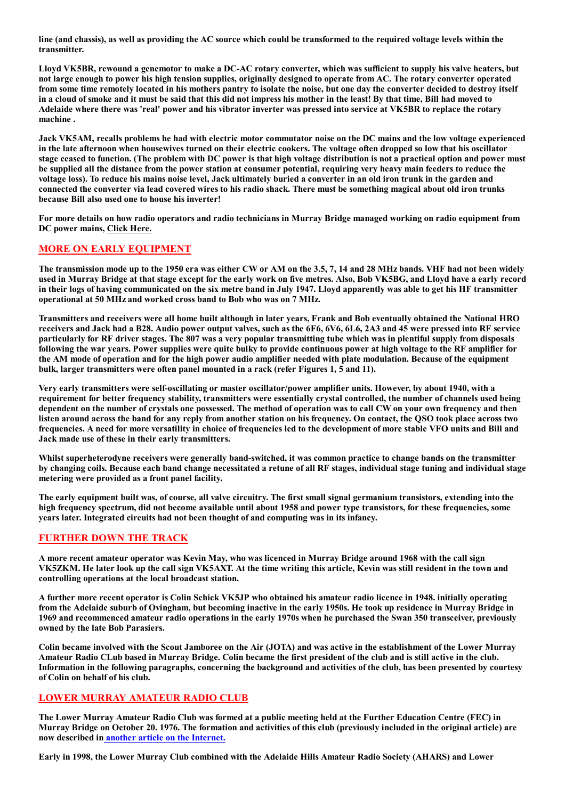line (and chassis), as well as providing the AC source which could be transformed to the required voltage levels within the transmitter.

Lloyd VK5BR, rewound a genemotor to make a DC-AC rotary converter, which was sufficient to supply his valve heaters, but not large enough to power his high tension supplies, originally designed to operate from AC. The rotary converter operated from some time remotely located in his mothers pantry to isolate the noise, but one day the converter decided to destroy itself in a cloud of smoke and it must be said that this did not impress his mother in the least! By that time, Bill had moved to Adelaide where there was 'real' power and his vibrator inverter was pressed into service at VK5BR to replace the rotary machine.

Jack VK5AM, recalls problems he had with electric motor commutator noise on the DC mains and the low voltage experienced in the late afternoon when housewives turned on their electric cookers. The voltage often dropped so low that his oscillator stage ceased to function. (The problem with DC power is that high voltage distribution is not a practical option and power must be supplied all the distance from the power station at consumer potential, requiring very heavy main feeders to reduce the voltage loss). To reduce his mains noise level, Jack ultimately buried a converter in an old iron trunk in the garden and connected the converter via lead covered wires to his radio shack. There must be something magical about old iron trunks because Bill also used one to house his inverter!

For more details on how radio operators and radio technicians in Murray Bridge managed working on radio equipment from DC power mains, Click Here.

## **MORE ON EARLY EQUIPMENT**

The transmission mode up to the 1950 era was either CW or AM on the 3.5, 7, 14 and 28 MHz bands. VHF had not been widely used in Murray Bridge at that stage except for the early work on five metres. Also, Bob VK5BG, and Lloyd have a early record in their logs of having communicated on the six metre band in July 1947. Lloyd apparently was able to get his HF transmitter operational at 50 MHz and worked cross band to Bob who was on 7 MHz.

Transmitters and receivers were all home built although in later years, Frank and Bob eventually obtained the National HRO receivers and Jack had a B28. Audio power output valves, such as the 6F6, 6V6, 6L6, 2A3 and 45 were pressed into RF service particularly for RF driver stages. The 807 was a very popular transmitting tube which was in plentiful supply from disposals following the war years. Power supplies were quite bulky to provide continuous power at high voltage to the RF amplifier for the AM mode of operation and for the high power audio amplifier needed with plate modulation. Because of the equipment bulk, larger transmitters were often panel mounted in a rack (refer Figures 1, 5 and 11).

Very early transmitters were self-oscillating or master oscillator/power amplifier units. However, by about 1940, with a requirement for better frequency stability, transmitters were essentially crystal controlled, the number of channels used being dependent on the number of crystals one possessed. The method of operation was to call CW on your own frequency and then listen around across the band for any reply from another station on his frequency. On contact, the QSO took place across two frequencies. A need for more versatility in choice of frequencies led to the development of more stable VFO units and Bill and Jack made use of these in their early transmitters.

Whilst superheterodyne receivers were generally band-switched, it was common practice to change bands on the transmitter by changing coils. Because each band change necessitated a retune of all RF stages, individual stage tuning and individual stage metering were provided as a front panel facility.

The early equipment built was, of course, all valve circuitry. The first small signal germanium transistors, extending into the high frequency spectrum, did not become available until about 1958 and power type transistors, for these frequencies, some years later. Integrated circuits had not been thought of and computing was in its infancy.

#### **FURTHER DOWN THE TRACK**

A more recent amateur operator was Kevin May, who was licenced in Murray Bridge around 1968 with the call sign VK5ZKM. He later look up the call sign VK5AXT. At the time writing this article, Kevin was still resident in the town and controlling operations at the local broadcast station.

A further more recent operator is Colin Schick VK5JP who obtained his amateur radio licence in 1948, initially operating from the Adelaide suburb of Ovingham, but becoming inactive in the early 1950s. He took up residence in Murray Bridge in 1969 and recommenced amateur radio operations in the early 1970s when he purchased the Swan 350 transceiver, previously owned by the late Bob Parasiers.

Colin became involved with the Scout Jamboree on the Air (JOTA) and was active in the establishment of the Lower Murray Amateur Radio CLub based in Murray Bridge. Colin became the first president of the club and is still active in the club. Information in the following paragraphs, concerning the background and activities of the club, has been presented by courtesy of Colin on behalf of his club.

## **LOWER MURRAY AMATEUR RADIO CLUB**

The Lower Murray Amateur Radio Club was formed at a public meeting held at the Further Education Centre (FEC) in Murray Bridge on October 20. 1976. The formation and activities of this club (previously included in the original article) are now described in another article on the Internet.

Early in 1998, the Lower Murray Club combined with the Adelaide Hills Amateur Radio Society (AHARS) and Lower